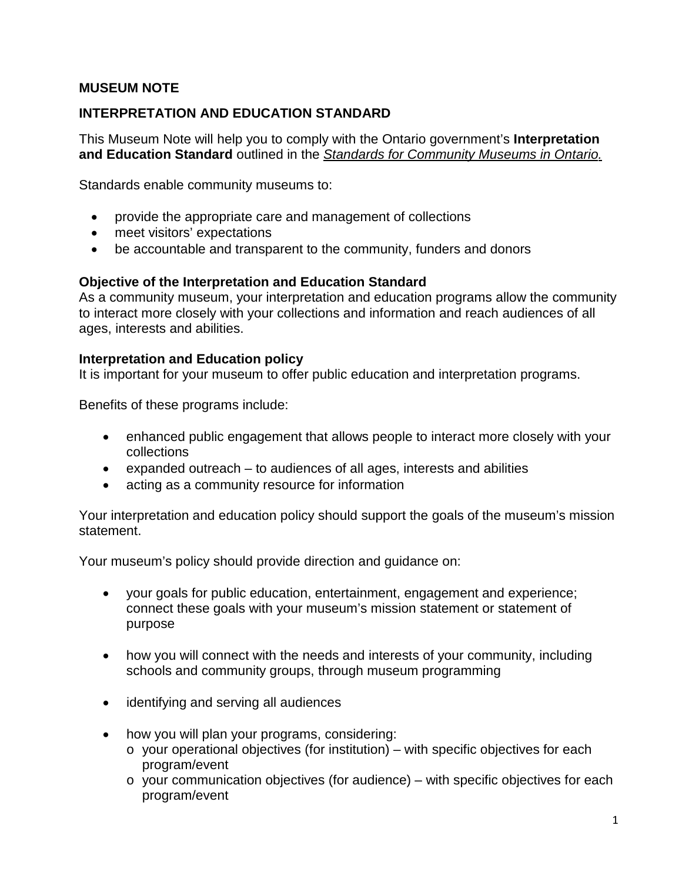### **MUSEUM NOTE**

### **INTERPRETATION AND EDUCATION STANDARD**

This Museum Note will help you to comply with the Ontario government's **Interpretation and Education Standard** outlined in the *[Standards for Community Museums in Ontario.](http://www.mtc.gov.on.ca/en/museums/museums_standards.shtml)*

Standards enable community museums to:

- provide the appropriate care and management of collections
- meet visitors' expectations
- be accountable and transparent to the community, funders and donors

#### **Objective of the Interpretation and Education Standard**

As a community museum, your interpretation and education programs allow the community to interact more closely with your collections and information and reach audiences of all ages, interests and abilities.

#### **Interpretation and Education policy**

It is important for your museum to offer public education and interpretation programs.

Benefits of these programs include:

- enhanced public engagement that allows people to interact more closely with your collections
- expanded outreach to audiences of all ages, interests and abilities
- acting as a community resource for information

Your interpretation and education policy should support the goals of the museum's mission statement.

Your museum's policy should provide direction and guidance on:

- your goals for public education, entertainment, engagement and experience; connect these goals with your museum's mission statement or statement of purpose
- how you will connect with the needs and interests of your community, including schools and community groups, through museum programming
- identifying and serving all audiences
- how you will plan your programs, considering:
	- $\circ$  your operational objectives (for institution) with specific objectives for each program/event
	- $\circ$  your communication objectives (for audience) with specific objectives for each program/event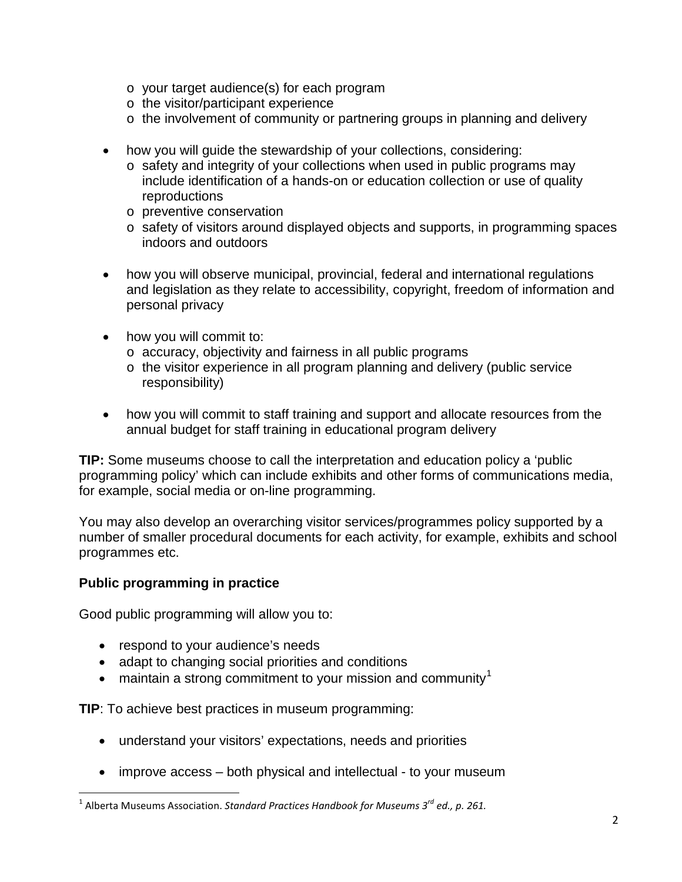- o your target audience(s) for each program
- o the visitor/participant experience
- o the involvement of community or partnering groups in planning and delivery
- how you will guide the stewardship of your collections, considering:
	- o safety and integrity of your collections when used in public programs may include identification of a hands-on or education collection or use of quality reproductions
	- o preventive conservation
	- o safety of visitors around displayed objects and supports, in programming spaces indoors and outdoors
- how you will observe municipal, provincial, federal and international regulations and legislation as they relate to accessibility, copyright, freedom of information and personal privacy
- how you will commit to:
	- o accuracy, objectivity and fairness in all public programs
	- o the visitor experience in all program planning and delivery (public service responsibility)
- how you will commit to staff training and support and allocate resources from the annual budget for staff training in educational program delivery

**TIP:** Some museums choose to call the interpretation and education policy a 'public programming policy' which can include exhibits and other forms of communications media, for example, social media or on-line programming.

You may also develop an overarching visitor services/programmes policy supported by a number of smaller procedural documents for each activity, for example, exhibits and school programmes etc.

## **Public programming in practice**

Good public programming will allow you to:

- respond to your audience's needs
- adapt to changing social priorities and conditions
- maintain a strong commitment to your mission and community<sup>[1](#page-1-0)</sup>

**TIP**: To achieve best practices in museum programming:

- understand your visitors' expectations, needs and priorities
- improve access both physical and intellectual to your museum

<span id="page-1-0"></span><sup>1</sup> Alberta Museums Association. *Standard Practices Handbook for Museums 3rd ed., p. 261.* l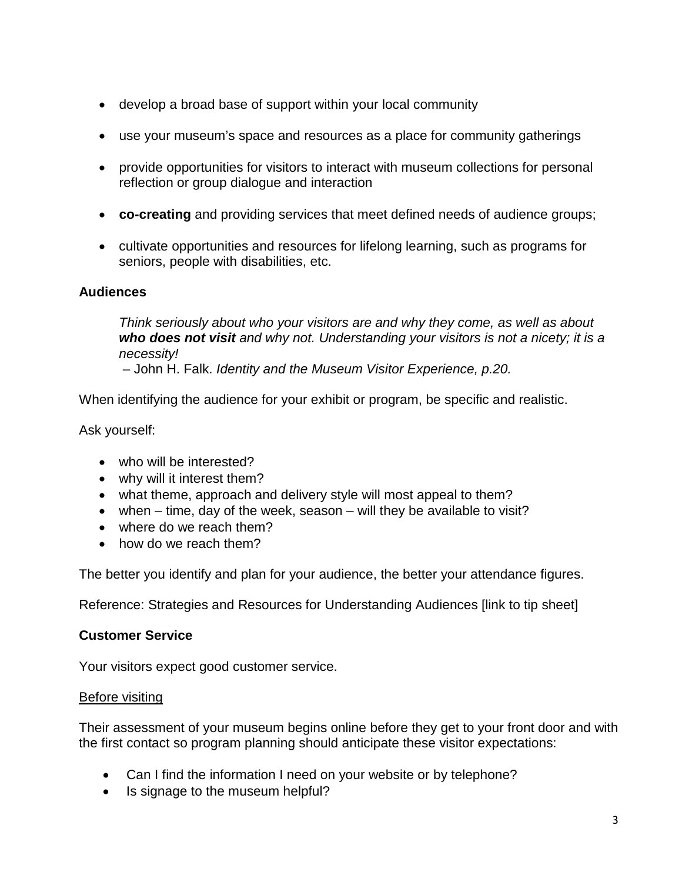- develop a broad base of support within your local community
- use your museum's space and resources as a place for community gatherings
- provide opportunities for visitors to interact with museum collections for personal reflection or group dialogue and interaction
- **co-creating** and providing services that meet defined needs of audience groups;
- cultivate opportunities and resources for lifelong learning, such as programs for seniors, people with disabilities, etc.

## **Audiences**

*Think seriously about who your visitors are and why they come, as well as about who does not visit and why not. Understanding your visitors is not a nicety; it is a necessity!*

– John H. Falk. *Identity and the Museum Visitor Experience, p.20.*

When identifying the audience for your exhibit or program, be specific and realistic.

Ask yourself:

- who will be interested?
- why will it interest them?
- what theme, approach and delivery style will most appeal to them?
- when time, day of the week, season will they be available to visit?
- where do we reach them?
- how do we reach them?

The better you identify and plan for your audience, the better your attendance figures.

Reference: Strategies and Resources for Understanding Audiences [link to tip sheet]

## **Customer Service**

Your visitors expect good customer service.

## Before visiting

Their assessment of your museum begins online before they get to your front door and with the first contact so program planning should anticipate these visitor expectations:

- Can I find the information I need on your website or by telephone?
- Is signage to the museum helpful?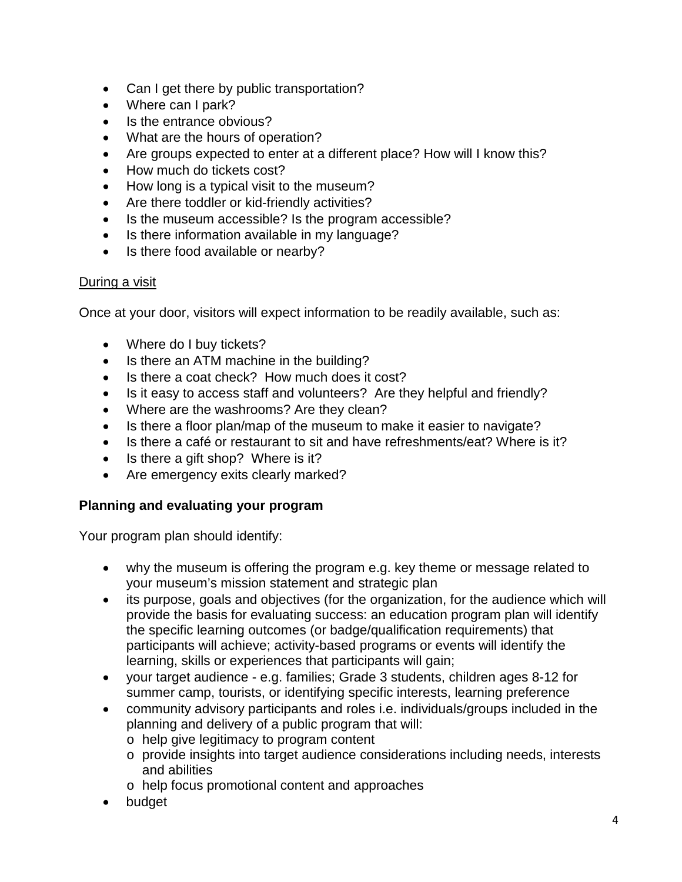- Can I get there by public transportation?
- Where can I park?
- Is the entrance obvious?
- What are the hours of operation?
- Are groups expected to enter at a different place? How will I know this?
- How much do tickets cost?
- How long is a typical visit to the museum?
- Are there toddler or kid-friendly activities?
- Is the museum accessible? Is the program accessible?
- Is there information available in my language?
- Is there food available or nearby?

## During a visit

Once at your door, visitors will expect information to be readily available, such as:

- Where do I buy tickets?
- Is there an ATM machine in the building?
- Is there a coat check? How much does it cost?
- Is it easy to access staff and volunteers? Are they helpful and friendly?
- Where are the washrooms? Are they clean?
- Is there a floor plan/map of the museum to make it easier to navigate?
- Is there a café or restaurant to sit and have refreshments/eat? Where is it?
- Is there a gift shop? Where is it?
- Are emergency exits clearly marked?

# **Planning and evaluating your program**

Your program plan should identify:

- why the museum is offering the program e.g. key theme or message related to your museum's mission statement and strategic plan
- its purpose, goals and objectives (for the organization, for the audience which will provide the basis for evaluating success: an education program plan will identify the specific learning outcomes (or badge/qualification requirements) that participants will achieve; activity-based programs or events will identify the learning, skills or experiences that participants will gain;
- your target audience e.g. families; Grade 3 students, children ages 8-12 for summer camp, tourists, or identifying specific interests, learning preference
- community advisory participants and roles i.e. individuals/groups included in the planning and delivery of a public program that will:
	- o help give legitimacy to program content
	- o provide insights into target audience considerations including needs, interests and abilities
	- o help focus promotional content and approaches
- budget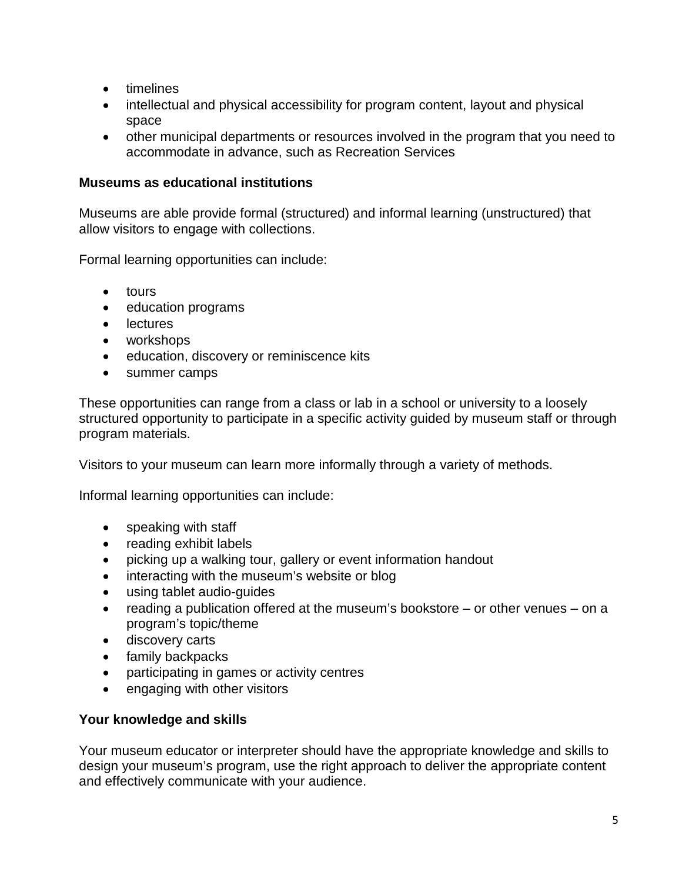- timelines
- intellectual and physical accessibility for program content, layout and physical space
- other municipal departments or resources involved in the program that you need to accommodate in advance, such as Recreation Services

### **Museums as educational institutions**

Museums are able provide formal (structured) and informal learning (unstructured) that allow visitors to engage with collections.

Formal learning opportunities can include:

- tours
- education programs
- lectures
- workshops
- education, discovery or reminiscence kits
- summer camps

These opportunities can range from a class or lab in a school or university to a loosely structured opportunity to participate in a specific activity guided by museum staff or through program materials.

Visitors to your museum can learn more informally through a variety of methods.

Informal learning opportunities can include:

- speaking with staff
- reading exhibit labels
- picking up a walking tour, gallery or event information handout
- interacting with the museum's website or blog
- using tablet audio-guides
- reading a publication offered at the museum's bookstore or other venues on a program's topic/theme
- discovery carts
- family backpacks
- participating in games or activity centres
- engaging with other visitors

## **Your knowledge and skills**

Your museum educator or interpreter should have the appropriate knowledge and skills to design your museum's program, use the right approach to deliver the appropriate content and effectively communicate with your audience.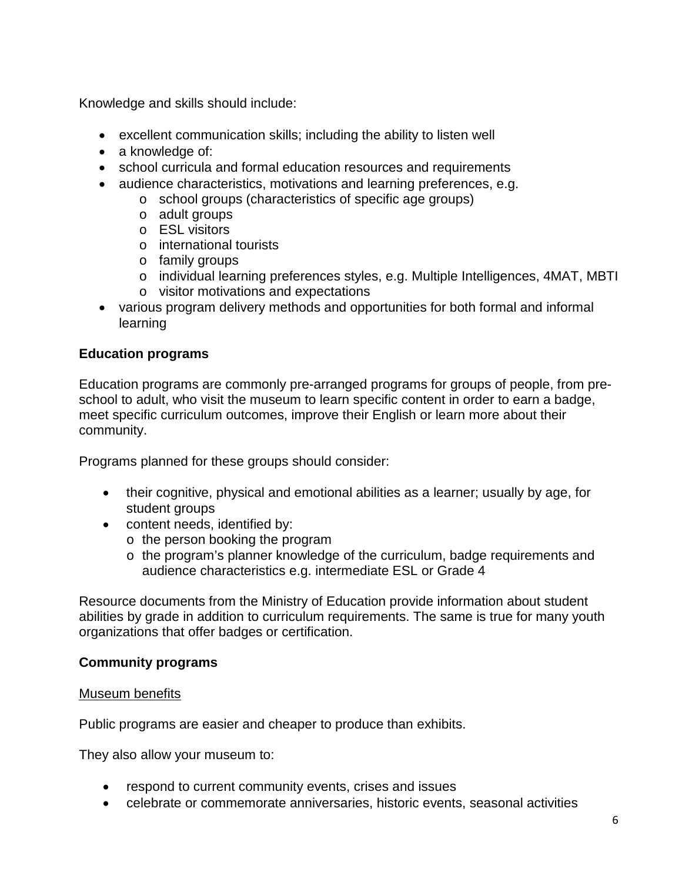Knowledge and skills should include:

- excellent communication skills; including the ability to listen well
- a knowledge of:
- school curricula and formal education resources and requirements
- audience characteristics, motivations and learning preferences, e.g.
	- o school groups (characteristics of specific age groups)
	- o adult groups
	- o ESL visitors
	- o international tourists
	- o family groups
	- o individual learning preferences styles, e.g. Multiple Intelligences, 4MAT, MBTI o visitor motivations and expectations
- various program delivery methods and opportunities for both formal and informal learning

## **Education programs**

Education programs are commonly pre-arranged programs for groups of people, from preschool to adult, who visit the museum to learn specific content in order to earn a badge, meet specific curriculum outcomes, improve their English or learn more about their community.

Programs planned for these groups should consider:

- their cognitive, physical and emotional abilities as a learner; usually by age, for student groups
- content needs, identified by:
	- o the person booking the program
	- o the program's planner knowledge of the curriculum, badge requirements and audience characteristics e.g. intermediate ESL or Grade 4

Resource documents from the Ministry of Education provide information about student abilities by grade in addition to curriculum requirements. The same is true for many youth organizations that offer badges or certification.

#### **Community programs**

#### Museum benefits

Public programs are easier and cheaper to produce than exhibits.

They also allow your museum to:

- respond to current community events, crises and issues
- celebrate or commemorate anniversaries, historic events, seasonal activities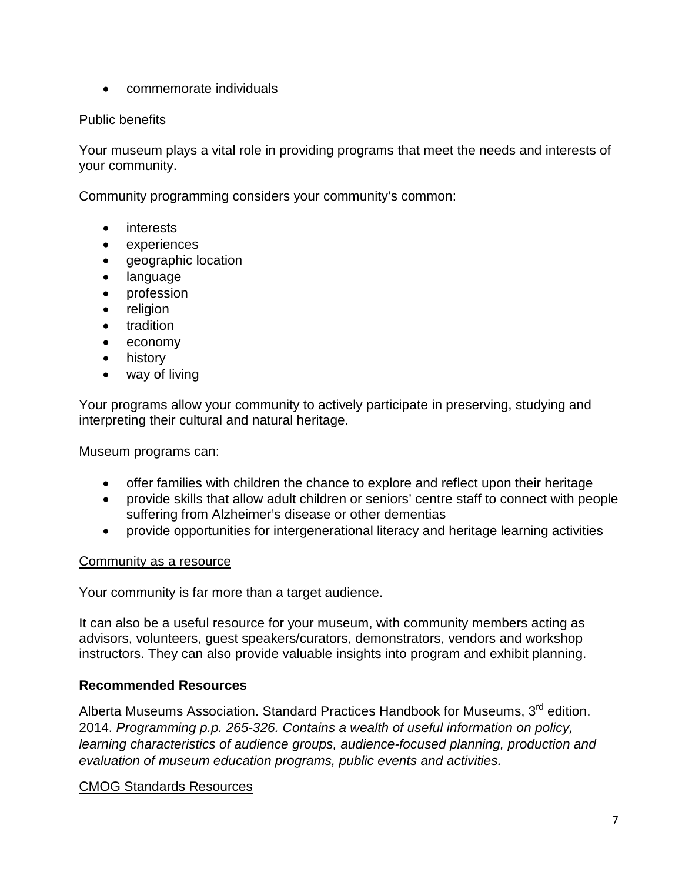• commemorate individuals

#### Public benefits

Your museum plays a vital role in providing programs that meet the needs and interests of your community.

Community programming considers your community's common:

- interests
- experiences
- geographic location
- language
- profession
- religion
- tradition
- economy
- history
- way of living

Your programs allow your community to actively participate in preserving, studying and interpreting their cultural and natural heritage.

Museum programs can:

- offer families with children the chance to explore and reflect upon their heritage
- provide skills that allow adult children or seniors' centre staff to connect with people suffering from Alzheimer's disease or other dementias
- provide opportunities for intergenerational literacy and heritage learning activities

#### Community as a resource

Your community is far more than a target audience.

It can also be a useful resource for your museum, with community members acting as advisors, volunteers, guest speakers/curators, demonstrators, vendors and workshop instructors. They can also provide valuable insights into program and exhibit planning.

## **Recommended Resources**

Alberta Museums Association. Standard Practices Handbook for Museums, 3<sup>rd</sup> edition. 2014. *Programming p.p. 265-326. Contains a wealth of useful information on policy, learning characteristics of audience groups, audience-focused planning, production and evaluation of museum education programs, public events and activities.*

#### CMOG Standards Resources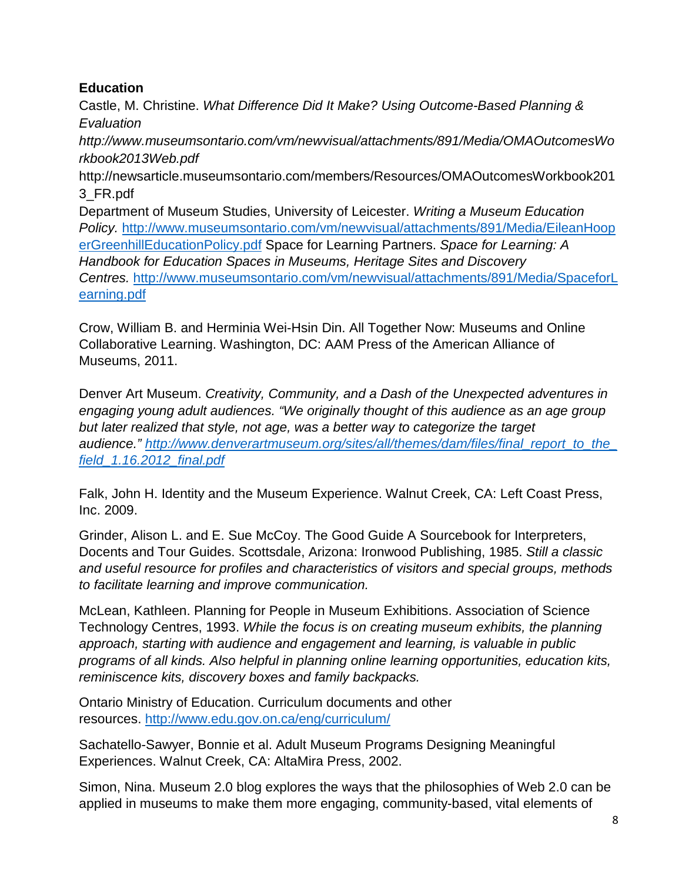# **Education**

Castle, M. Christine. *What Difference Did It Make? Using Outcome-Based Planning & Evaluation*

*http://www.museumsontario.com/vm/newvisual/attachments/891/Media/OMAOutcomesWo rkbook2013Web.pdf*

http://newsarticle.museumsontario.com/members/Resources/OMAOutcomesWorkbook201 3\_FR.pdf

Department of Museum Studies, University of Leicester. *Writing a Museum Education Policy.* [http://www.museumsontario.com/vm/newvisual/attachments/891/Media/EileanHoop](http://www.museumsontario.com/vm/newvisual/attachments/891/Media/EileanHooperGreenhillEducationPolicy.pdf) [erGreenhillEducationPolicy.pdf](http://www.museumsontario.com/vm/newvisual/attachments/891/Media/EileanHooperGreenhillEducationPolicy.pdf) Space for Learning Partners. *Space for Learning: A Handbook for Education Spaces in Museums, Heritage Sites and Discovery Centres.* [http://www.museumsontario.com/vm/newvisual/attachments/891/Media/SpaceforL](http://www.museumsontario.com/vm/newvisual/attachments/891/Media/SpaceforLearning.pdf) [earning.pdf](http://www.museumsontario.com/vm/newvisual/attachments/891/Media/SpaceforLearning.pdf)

Crow, William B. and Herminia Wei-Hsin Din. All Together Now: Museums and Online Collaborative Learning. Washington, DC: AAM Press of the American Alliance of Museums, 2011.

Denver Art Museum. *Creativity, Community, and a Dash of the Unexpected adventures in engaging young adult audiences. "We originally thought of this audience as an age group but later realized that style, not age, was a better way to categorize the target audience." [http://www.denverartmuseum.org/sites/all/themes/dam/files/final\\_report\\_to\\_the\\_](http://www.denverartmuseum.org/sites/all/themes/dam/files/final_report_to_the_field_1.16.2012_final.pdf) [field\\_1.16.2012\\_final.pdf](http://www.denverartmuseum.org/sites/all/themes/dam/files/final_report_to_the_field_1.16.2012_final.pdf)*

Falk, John H. Identity and the Museum Experience. Walnut Creek, CA: Left Coast Press, Inc. 2009.

Grinder, Alison L. and E. Sue McCoy. The Good Guide A Sourcebook for Interpreters, Docents and Tour Guides. Scottsdale, Arizona: Ironwood Publishing, 1985. *Still a classic and useful resource for profiles and characteristics of visitors and special groups, methods to facilitate learning and improve communication.*

McLean, Kathleen. Planning for People in Museum Exhibitions. Association of Science Technology Centres, 1993. *While the focus is on creating museum exhibits, the planning approach, starting with audience and engagement and learning, is valuable in public programs of all kinds. Also helpful in planning online learning opportunities, education kits, reminiscence kits, discovery boxes and family backpacks.*

Ontario Ministry of Education. Curriculum documents and other resources.<http://www.edu.gov.on.ca/eng/curriculum/>

Sachatello-Sawyer, Bonnie et al. Adult Museum Programs Designing Meaningful Experiences. Walnut Creek, CA: AltaMira Press, 2002.

Simon, Nina. Museum 2.0 blog explores the ways that the philosophies of Web 2.0 can be applied in museums to make them more engaging, community-based, vital elements of